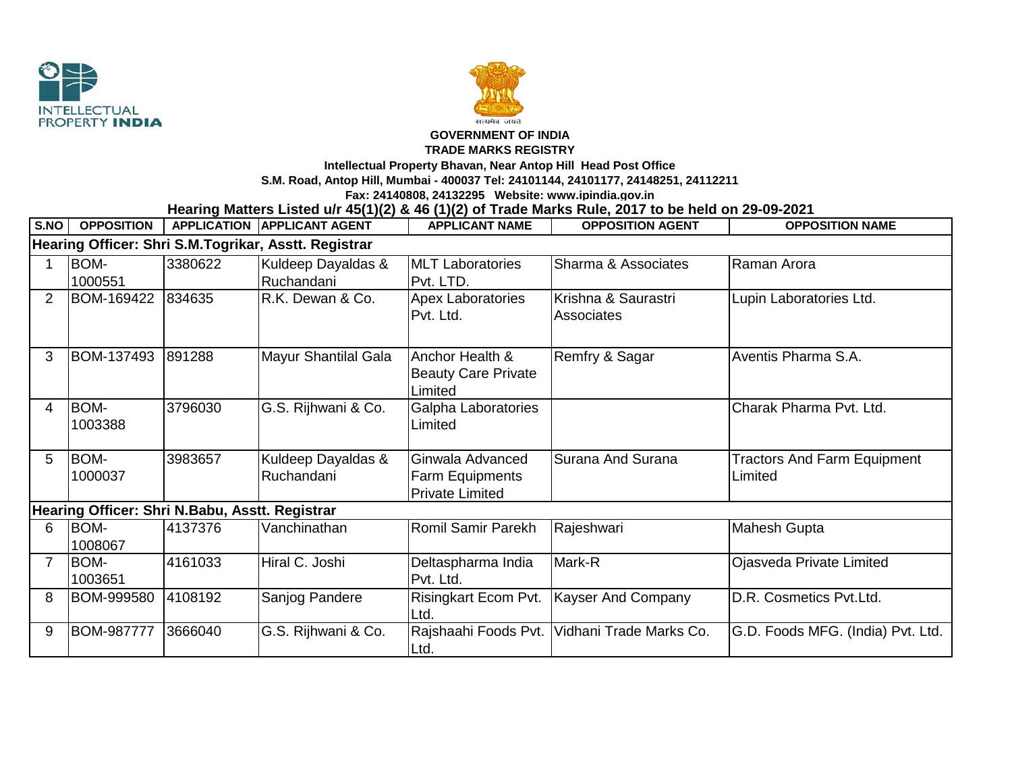



## **GOVERNMENT OF INDIA**

## **TRADE MARKS REGISTRY**

**Intellectual Property Bhavan, Near Antop Hill Head Post Office**

**S.M. Road, Antop Hill, Mumbai - 400037 Tel: 24101144, 24101177, 24148251, 24112211**

**Fax: 24140808, 24132295 Website: www.ipindia.gov.in**

**Hearing Matters Listed u/r 45(1)(2) & 46 (1)(2) of Trade Marks Rule, 2017 to be held on 29-09-2021** 

| S.NO                                                 | <b>OPPOSITION</b> |         | <b>APPLICATION APPLICANT AGENT</b> | <b>APPLICANT NAME</b>                                                | <b>OPPOSITION AGENT</b>                  | <b>OPPOSITION NAME</b>                        |  |  |  |  |  |
|------------------------------------------------------|-------------------|---------|------------------------------------|----------------------------------------------------------------------|------------------------------------------|-----------------------------------------------|--|--|--|--|--|
| Hearing Officer: Shri S.M.Togrikar, Asstt. Registrar |                   |         |                                    |                                                                      |                                          |                                               |  |  |  |  |  |
|                                                      | BOM-              | 3380622 | Kuldeep Dayaldas &                 | <b>MLT Laboratories</b>                                              | Sharma & Associates                      | Raman Arora                                   |  |  |  |  |  |
|                                                      | 1000551           |         | Ruchandani                         | Pvt. LTD.                                                            |                                          |                                               |  |  |  |  |  |
| 2                                                    | BOM-169422        | 834635  | R.K. Dewan & Co.                   | <b>Apex Laboratories</b><br>Pvt. Ltd.                                | Krishna & Saurastri<br><b>Associates</b> | Lupin Laboratories Ltd.                       |  |  |  |  |  |
| 3                                                    | BOM-137493        | 891288  | Mayur Shantilal Gala               | Anchor Health &<br><b>Beauty Care Private</b><br>Limited             | Remfry & Sagar                           | Aventis Pharma S.A.                           |  |  |  |  |  |
| 4                                                    | BOM-<br>1003388   | 3796030 | G.S. Rijhwani & Co.                | Galpha Laboratories<br>Limited                                       |                                          | Charak Pharma Pvt. Ltd.                       |  |  |  |  |  |
| 5                                                    | BOM-<br>1000037   | 3983657 | Kuldeep Dayaldas &<br>Ruchandani   | Ginwala Advanced<br><b>Farm Equipments</b><br><b>Private Limited</b> | Surana And Surana                        | <b>Tractors And Farm Equipment</b><br>Limited |  |  |  |  |  |
| Hearing Officer: Shri N.Babu, Asstt. Registrar       |                   |         |                                    |                                                                      |                                          |                                               |  |  |  |  |  |
| 6                                                    | BOM-<br>1008067   | 4137376 | Vanchinathan                       | Romil Samir Parekh                                                   | Rajeshwari                               | <b>Mahesh Gupta</b>                           |  |  |  |  |  |
| $\overline{7}$                                       | BOM-<br>1003651   | 4161033 | Hiral C. Joshi                     | Deltaspharma India<br>Pvt. Ltd.                                      | Mark-R                                   | Ojasveda Private Limited                      |  |  |  |  |  |
| 8                                                    | BOM-999580        | 4108192 | Sanjog Pandere                     | Risingkart Ecom Pvt.<br>Ltd.                                         | Kayser And Company                       | D.R. Cosmetics Pvt.Ltd.                       |  |  |  |  |  |
| 9                                                    | <b>BOM-987777</b> | 3666040 | G.S. Rijhwani & Co.                | Rajshaahi Foods Pvt.<br>Ltd.                                         | Vidhani Trade Marks Co.                  | G.D. Foods MFG. (India) Pvt. Ltd.             |  |  |  |  |  |